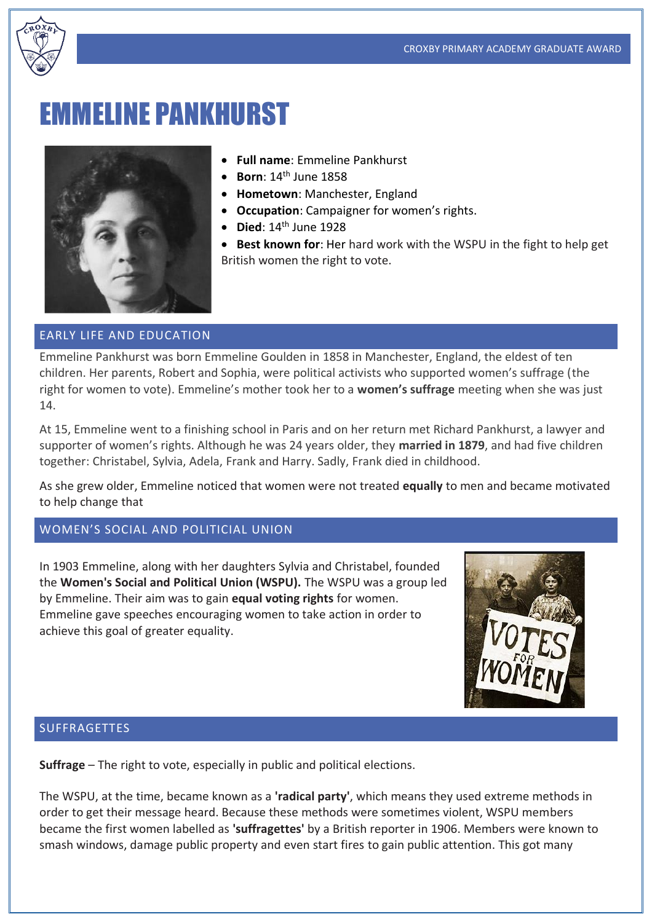

# EMMELINE PANKHURST



- **Full name**: Emmeline Pankhurst
- **Born**: 14th June 1858
- **Hometown**: Manchester, England
- **Occupation**: Campaigner for women's rights.
- **Died**: 14th June 1928
- **Best known for**: Her hard work with the WSPU in the fight to help get British women the right to vote.

#### EARLY LIFE AND EDUCATION

Emmeline Pankhurst was born Emmeline Goulden in 1858 in Manchester, England, the eldest of ten children. Her parents, Robert and Sophia, were political activists who supported women's suffrage (the right for women to vote). Emmeline's mother took her to a **women's suffrage** meeting when she was just 14.

At 15, Emmeline went to a finishing school in Paris and on her return met Richard Pankhurst, a lawyer and supporter of women's rights. Although he was 24 years older, they **married in 1879**, and had five children together: Christabel, Sylvia, Adela, Frank and Harry. Sadly, Frank died in childhood.

As she grew older, Emmeline noticed that women were not treated **equally** to men and became motivated to help change that

## WOMEN'S SOCIAL AND POLITICIAL UNION

In 1903 Emmeline, along with her daughters Sylvia and Christabel, founded the **Women's Social and Political Union (WSPU).** The WSPU was a group led by Emmeline. Their aim was to gain **equal voting rights** for women. Emmeline gave speeches encouraging women to take action in order to achieve this goal of greater equality.



#### SUFFRAGETTES

**Suffrage** – The right to vote, especially in public and political elections.

The WSPU, at the time, became known as a **'radical party'**, which means they used extreme methods in order to get their message heard. Because these methods were sometimes violent, WSPU members became the first women labelled as **'suffragettes'** by a British reporter in 1906. Members were known to smash windows, damage public property and even start fires to gain public attention. This got many